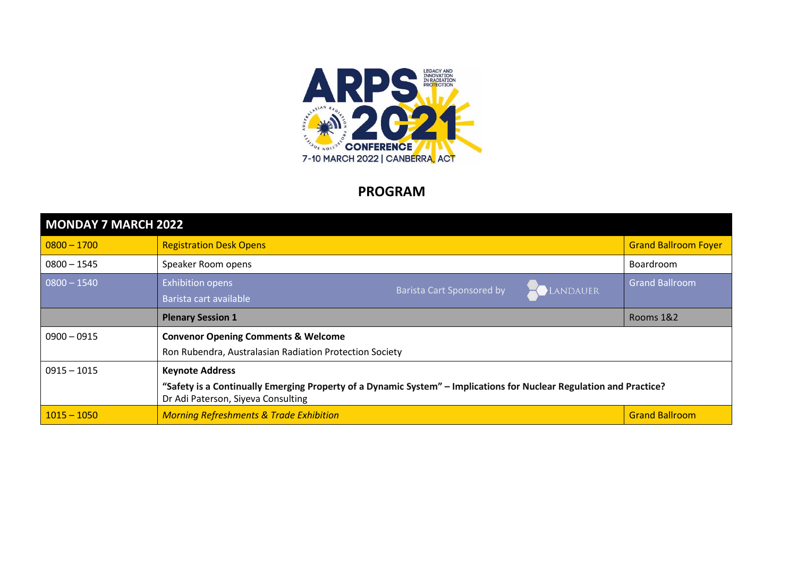

## **PROGRAM**

| MONDAY 7 MARCH 2022 |                                                                                                                                                                                     |                                  |          |                             |
|---------------------|-------------------------------------------------------------------------------------------------------------------------------------------------------------------------------------|----------------------------------|----------|-----------------------------|
| $ 0800 - 1700 $     | <b>Registration Desk Opens</b>                                                                                                                                                      |                                  |          | <b>Grand Ballroom Foyer</b> |
| $0800 - 1545$       | Speaker Room opens                                                                                                                                                                  |                                  |          | <b>Boardroom</b>            |
| $0800 - 1540$       | <b>Exhibition opens</b><br>Barista cart available                                                                                                                                   | <b>Barista Cart Sponsored by</b> | LANDAUER | <b>Grand Ballroom</b>       |
|                     | <b>Plenary Session 1</b>                                                                                                                                                            |                                  |          | Rooms 1&2                   |
| $0900 - 0915$       | <b>Convenor Opening Comments &amp; Welcome</b><br>Ron Rubendra, Australasian Radiation Protection Society                                                                           |                                  |          |                             |
| $0915 - 1015$       | <b>Keynote Address</b><br>"Safety is a Continually Emerging Property of a Dynamic System" – Implications for Nuclear Regulation and Practice?<br>Dr Adi Paterson, Siyeva Consulting |                                  |          |                             |
| $1015 - 1050$       | <b>Morning Refreshments &amp; Trade Exhibition</b>                                                                                                                                  |                                  |          | <b>Grand Ballroom</b>       |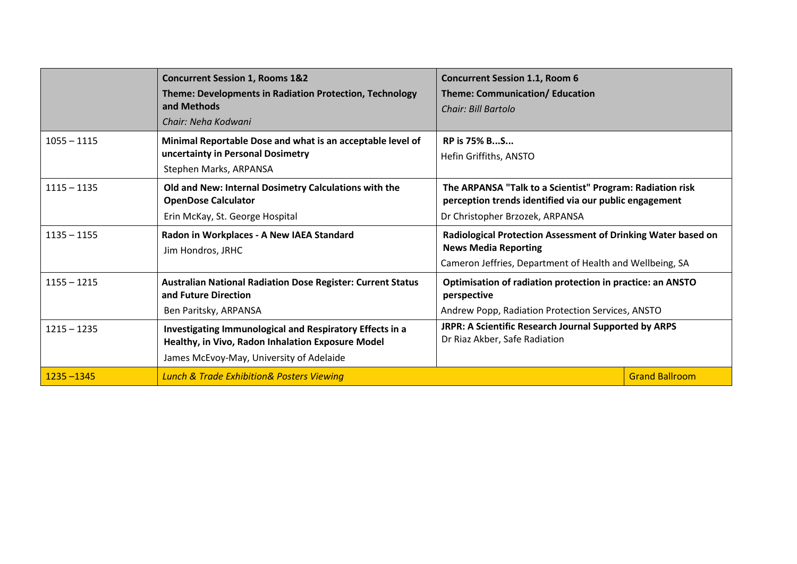|               | <b>Concurrent Session 1, Rooms 1&amp;2</b><br>Theme: Developments in Radiation Protection, Technology<br>and Methods<br>Chair: Neha Kodwani               | <b>Concurrent Session 1.1, Room 6</b><br>Theme: Communication/ Education<br>Chair: Bill Bartolo                                                          |                       |
|---------------|-----------------------------------------------------------------------------------------------------------------------------------------------------------|----------------------------------------------------------------------------------------------------------------------------------------------------------|-----------------------|
| $1055 - 1115$ | Minimal Reportable Dose and what is an acceptable level of<br>uncertainty in Personal Dosimetry<br>Stephen Marks, ARPANSA                                 | <b>RP is 75% BS</b><br>Hefin Griffiths, ANSTO                                                                                                            |                       |
| $1115 - 1135$ | Old and New: Internal Dosimetry Calculations with the<br><b>OpenDose Calculator</b><br>Erin McKay, St. George Hospital                                    | The ARPANSA "Talk to a Scientist" Program: Radiation risk<br>perception trends identified via our public engagement<br>Dr Christopher Brzozek, ARPANSA   |                       |
| $1135 - 1155$ | Radon in Workplaces - A New IAEA Standard<br>Jim Hondros, JRHC                                                                                            | Radiological Protection Assessment of Drinking Water based on<br><b>News Media Reporting</b><br>Cameron Jeffries, Department of Health and Wellbeing, SA |                       |
| $1155 - 1215$ | <b>Australian National Radiation Dose Register: Current Status</b><br>and Future Direction<br>Ben Paritsky, ARPANSA                                       | Optimisation of radiation protection in practice: an ANSTO<br>perspective<br>Andrew Popp, Radiation Protection Services, ANSTO                           |                       |
| $1215 - 1235$ | Investigating Immunological and Respiratory Effects in a<br>Healthy, in Vivo, Radon Inhalation Exposure Model<br>James McEvoy-May, University of Adelaide | JRPR: A Scientific Research Journal Supported by ARPS<br>Dr Riaz Akber, Safe Radiation                                                                   |                       |
| $1235 - 1345$ | <b>Lunch &amp; Trade Exhibition &amp; Posters Viewing</b>                                                                                                 |                                                                                                                                                          | <b>Grand Ballroom</b> |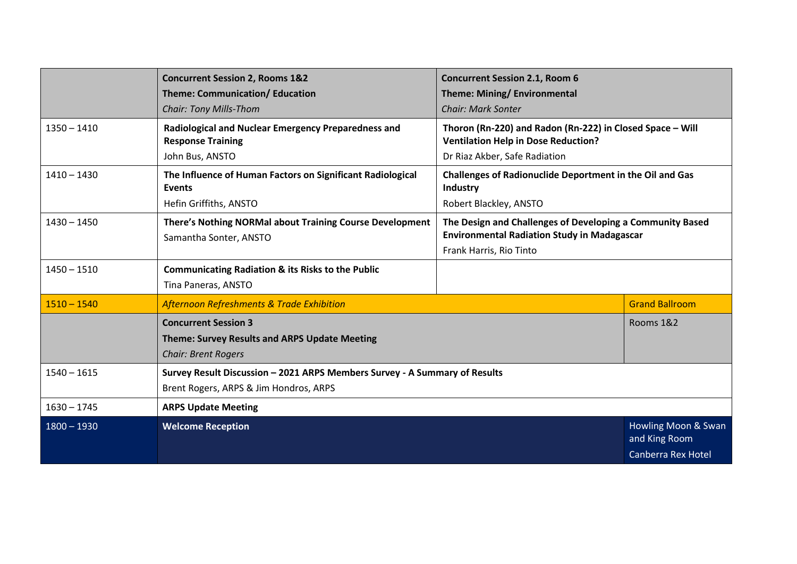|               | <b>Concurrent Session 2, Rooms 1&amp;2</b><br><b>Theme: Communication/ Education</b> | <b>Concurrent Session 2.1, Room 6</b><br>Theme: Mining/ Environmental                                           |                                                                   |
|---------------|--------------------------------------------------------------------------------------|-----------------------------------------------------------------------------------------------------------------|-------------------------------------------------------------------|
|               | <b>Chair: Tony Mills-Thom</b>                                                        | <b>Chair: Mark Sonter</b>                                                                                       |                                                                   |
| $1350 - 1410$ | Radiological and Nuclear Emergency Preparedness and<br><b>Response Training</b>      | Thoron (Rn-220) and Radon (Rn-222) in Closed Space - Will<br><b>Ventilation Help in Dose Reduction?</b>         |                                                                   |
|               | John Bus, ANSTO                                                                      | Dr Riaz Akber, Safe Radiation                                                                                   |                                                                   |
| $1410 - 1430$ | The Influence of Human Factors on Significant Radiological<br><b>Events</b>          | <b>Challenges of Radionuclide Deportment in the Oil and Gas</b><br>Industry                                     |                                                                   |
|               | Hefin Griffiths, ANSTO                                                               | Robert Blackley, ANSTO                                                                                          |                                                                   |
| $1430 - 1450$ | There's Nothing NORMal about Training Course Development<br>Samantha Sonter, ANSTO   | The Design and Challenges of Developing a Community Based<br><b>Environmental Radiation Study in Madagascar</b> |                                                                   |
|               |                                                                                      | Frank Harris, Rio Tinto                                                                                         |                                                                   |
| $1450 - 1510$ | <b>Communicating Radiation &amp; its Risks to the Public</b>                         |                                                                                                                 |                                                                   |
|               | Tina Paneras, ANSTO                                                                  |                                                                                                                 |                                                                   |
| $1510 - 1540$ | Afternoon Refreshments & Trade Exhibition                                            |                                                                                                                 | <b>Grand Ballroom</b>                                             |
|               | <b>Concurrent Session 3</b>                                                          |                                                                                                                 | Rooms 1&2                                                         |
|               | <b>Theme: Survey Results and ARPS Update Meeting</b>                                 |                                                                                                                 |                                                                   |
|               | <b>Chair: Brent Rogers</b>                                                           |                                                                                                                 |                                                                   |
| $1540 - 1615$ | Survey Result Discussion - 2021 ARPS Members Survey - A Summary of Results           |                                                                                                                 |                                                                   |
|               | Brent Rogers, ARPS & Jim Hondros, ARPS                                               |                                                                                                                 |                                                                   |
| $1630 - 1745$ | <b>ARPS Update Meeting</b>                                                           |                                                                                                                 |                                                                   |
| $1800 - 1930$ | <b>Welcome Reception</b>                                                             |                                                                                                                 | Howling Moon & Swan<br>and King Room<br><b>Canberra Rex Hotel</b> |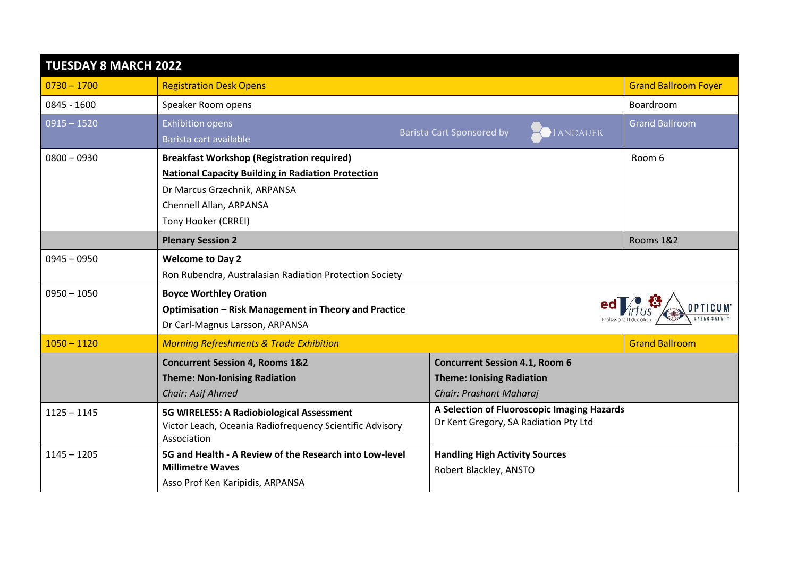| <b>TUESDAY 8 MARCH 2022</b> |                                                                         |                                              |                             |
|-----------------------------|-------------------------------------------------------------------------|----------------------------------------------|-----------------------------|
| $0730 - 1700$               | <b>Registration Desk Opens</b>                                          |                                              | <b>Grand Ballroom Foyer</b> |
| 0845 - 1600                 | Speaker Room opens                                                      |                                              | Boardroom                   |
| $0915 - 1520$               | <b>Exhibition opens</b>                                                 | LANDAUER<br><b>Barista Cart Sponsored by</b> | <b>Grand Ballroom</b>       |
|                             | Barista cart available                                                  |                                              |                             |
| $0800 - 0930$               | <b>Breakfast Workshop (Registration required)</b>                       |                                              | Room 6                      |
|                             | <b>National Capacity Building in Radiation Protection</b>               |                                              |                             |
|                             | Dr Marcus Grzechnik, ARPANSA                                            |                                              |                             |
|                             | Chennell Allan, ARPANSA                                                 |                                              |                             |
|                             | Tony Hooker (CRREI)                                                     |                                              |                             |
|                             | <b>Plenary Session 2</b>                                                |                                              | Rooms 1&2                   |
| $0945 - 0950$               | <b>Welcome to Day 2</b>                                                 |                                              |                             |
|                             | Ron Rubendra, Australasian Radiation Protection Society                 |                                              |                             |
| $0950 - 1050$               | <b>Boyce Worthley Oration</b>                                           |                                              |                             |
|                             | Optimisation - Risk Management in Theory and Practice                   |                                              |                             |
|                             | Dr Carl-Magnus Larsson, ARPANSA                                         |                                              |                             |
| $1050 - 1120$               | <b>Morning Refreshments &amp; Trade Exhibition</b>                      |                                              | <b>Grand Ballroom</b>       |
|                             | <b>Concurrent Session 4, Rooms 1&amp;2</b>                              | <b>Concurrent Session 4.1, Room 6</b>        |                             |
|                             | <b>Theme: Non-Ionising Radiation</b>                                    | <b>Theme: Ionising Radiation</b>             |                             |
|                             | Chair: Asif Ahmed                                                       | Chair: Prashant Maharaj                      |                             |
| $1125 - 1145$               | 5G WIRELESS: A Radiobiological Assessment                               | A Selection of Fluoroscopic Imaging Hazards  |                             |
|                             | Victor Leach, Oceania Radiofrequency Scientific Advisory<br>Association | Dr Kent Gregory, SA Radiation Pty Ltd        |                             |
| $1145 - 1205$               | 5G and Health - A Review of the Research into Low-level                 | <b>Handling High Activity Sources</b>        |                             |
|                             | <b>Millimetre Waves</b>                                                 | Robert Blackley, ANSTO                       |                             |
|                             | Asso Prof Ken Karipidis, ARPANSA                                        |                                              |                             |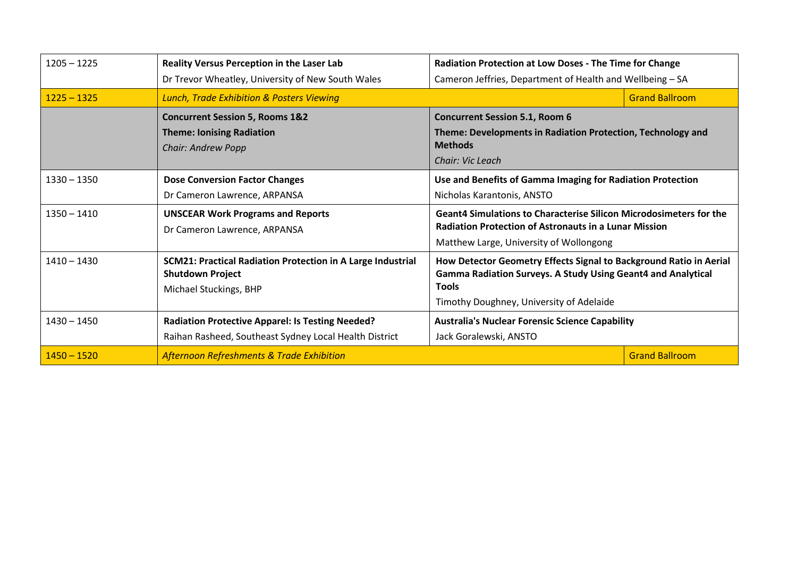| $1205 - 1225$ | <b>Reality Versus Perception in the Laser Lab</b><br>Dr Trevor Wheatley, University of New South Wales                  | <b>Radiation Protection at Low Doses - The Time for Change</b><br>Cameron Jeffries, Department of Health and Wellbeing - SA                                                                           |                       |
|---------------|-------------------------------------------------------------------------------------------------------------------------|-------------------------------------------------------------------------------------------------------------------------------------------------------------------------------------------------------|-----------------------|
| $1225 - 1325$ | <b>Lunch, Trade Exhibition &amp; Posters Viewing</b>                                                                    | <b>Grand Ballroom</b>                                                                                                                                                                                 |                       |
|               | <b>Concurrent Session 5, Rooms 1&amp;2</b><br><b>Theme: Ionising Radiation</b><br><b>Chair: Andrew Popp</b>             | <b>Concurrent Session 5.1, Room 6</b><br>Theme: Developments in Radiation Protection, Technology and<br><b>Methods</b><br>Chair: Vic Leach                                                            |                       |
| $1330 - 1350$ | <b>Dose Conversion Factor Changes</b><br>Dr Cameron Lawrence, ARPANSA                                                   | Use and Benefits of Gamma Imaging for Radiation Protection<br>Nicholas Karantonis, ANSTO                                                                                                              |                       |
| $1350 - 1410$ | <b>UNSCEAR Work Programs and Reports</b><br>Dr Cameron Lawrence, ARPANSA                                                | <b>Geant4 Simulations to Characterise Silicon Microdosimeters for the</b><br><b>Radiation Protection of Astronauts in a Lunar Mission</b><br>Matthew Large, University of Wollongong                  |                       |
| $1410 - 1430$ | <b>SCM21: Practical Radiation Protection in A Large Industrial</b><br><b>Shutdown Project</b><br>Michael Stuckings, BHP | How Detector Geometry Effects Signal to Background Ratio in Aerial<br><b>Gamma Radiation Surveys. A Study Using Geant4 and Analytical</b><br><b>Tools</b><br>Timothy Doughney, University of Adelaide |                       |
| $1430 - 1450$ | <b>Radiation Protective Apparel: Is Testing Needed?</b><br>Raihan Rasheed, Southeast Sydney Local Health District       | <b>Australia's Nuclear Forensic Science Capability</b><br>Jack Goralewski, ANSTO                                                                                                                      |                       |
| $1450 - 1520$ | <b>Afternoon Refreshments &amp; Trade Exhibition</b>                                                                    |                                                                                                                                                                                                       | <b>Grand Ballroom</b> |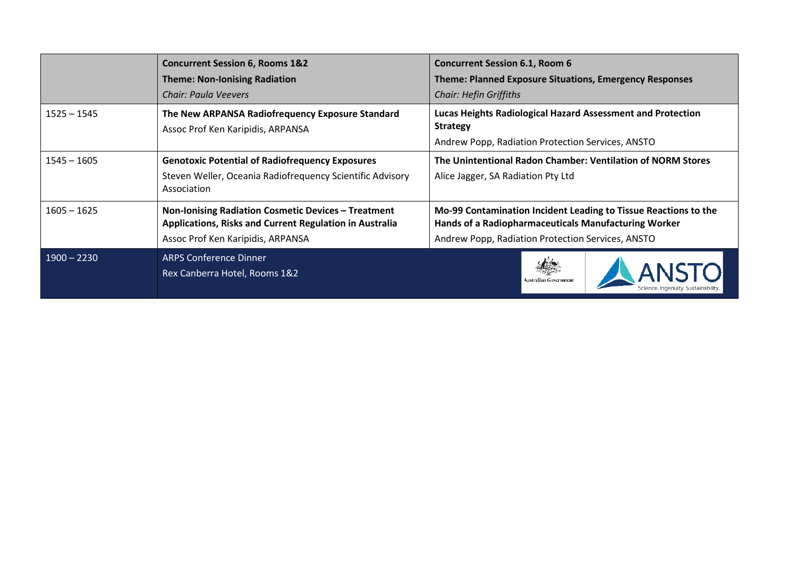|               | <b>Concurrent Session 6, Rooms 1&amp;2</b><br><b>Theme: Non-Ionising Radiation</b><br>Chair: Paula Veevers                                          | <b>Concurrent Session 6.1, Room 6</b><br><b>Theme: Planned Exposure Situations, Emergency Responses</b><br><b>Chair: Hefin Griffiths</b>                                     |  |
|---------------|-----------------------------------------------------------------------------------------------------------------------------------------------------|------------------------------------------------------------------------------------------------------------------------------------------------------------------------------|--|
| $1525 - 1545$ | The New ARPANSA Radiofrequency Exposure Standard<br>Assoc Prof Ken Karipidis, ARPANSA                                                               | <b>Lucas Heights Radiological Hazard Assessment and Protection</b><br><b>Strategy</b><br>Andrew Popp, Radiation Protection Services, ANSTO                                   |  |
| $1545 - 1605$ | <b>Genotoxic Potential of Radiofrequency Exposures</b><br>Steven Weller, Oceania Radiofrequency Scientific Advisory<br>Association                  | The Unintentional Radon Chamber: Ventilation of NORM Stores<br>Alice Jagger, SA Radiation Pty Ltd                                                                            |  |
| $1605 - 1625$ | Non-Ionising Radiation Cosmetic Devices - Treatment<br>Applications, Risks and Current Regulation in Australia<br>Assoc Prof Ken Karipidis, ARPANSA | Mo-99 Contamination Incident Leading to Tissue Reactions to the<br>Hands of a Radiopharmaceuticals Manufacturing Worker<br>Andrew Popp, Radiation Protection Services, ANSTO |  |
| $1900 - 2230$ | <b>ARPS Conference Dinner</b><br>Rex Canberra Hotel, Rooms 1&2                                                                                      |                                                                                                                                                                              |  |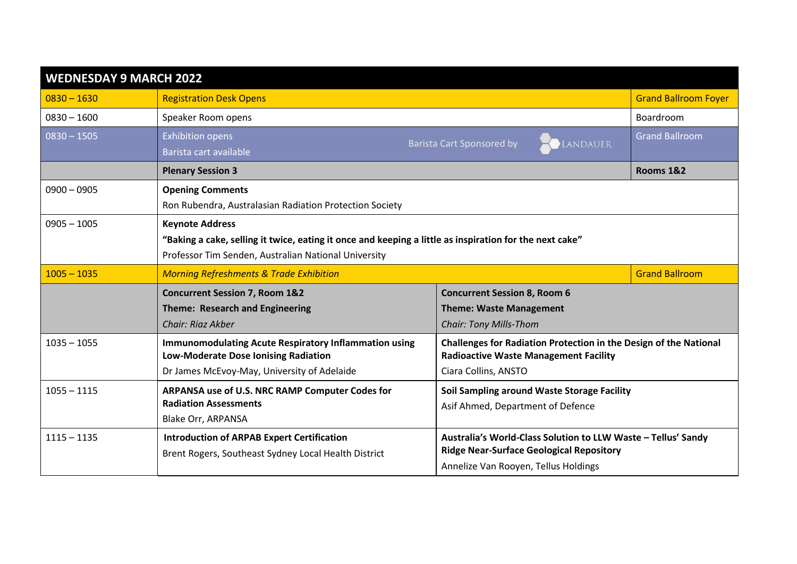| <b>WEDNESDAY 9 MARCH 2022</b> |                                                                                                         |                                                                                                                   |                             |
|-------------------------------|---------------------------------------------------------------------------------------------------------|-------------------------------------------------------------------------------------------------------------------|-----------------------------|
| $0830 - 1630$                 | <b>Registration Desk Opens</b>                                                                          |                                                                                                                   | <b>Grand Ballroom Foyer</b> |
| $0830 - 1600$                 | Speaker Room opens                                                                                      |                                                                                                                   | <b>Boardroom</b>            |
| $0830 - 1505$                 | <b>Exhibition opens</b>                                                                                 | <b>Barista Cart Sponsored by</b><br>LANDAUER                                                                      | <b>Grand Ballroom</b>       |
|                               | Barista cart available                                                                                  |                                                                                                                   |                             |
|                               | <b>Plenary Session 3</b>                                                                                |                                                                                                                   | <b>Rooms 1&amp;2</b>        |
| $0900 - 0905$                 | <b>Opening Comments</b>                                                                                 |                                                                                                                   |                             |
|                               | Ron Rubendra, Australasian Radiation Protection Society                                                 |                                                                                                                   |                             |
| $0905 - 1005$                 | <b>Keynote Address</b>                                                                                  |                                                                                                                   |                             |
|                               | "Baking a cake, selling it twice, eating it once and keeping a little as inspiration for the next cake" |                                                                                                                   |                             |
|                               | Professor Tim Senden, Australian National University                                                    |                                                                                                                   |                             |
| $1005 - 1035$                 | <b>Morning Refreshments &amp; Trade Exhibition</b>                                                      |                                                                                                                   | <b>Grand Ballroom</b>       |
|                               | <b>Concurrent Session 7, Room 1&amp;2</b>                                                               | <b>Concurrent Session 8, Room 6</b>                                                                               |                             |
|                               | <b>Theme: Research and Engineering</b>                                                                  | <b>Theme: Waste Management</b>                                                                                    |                             |
|                               | Chair: Riaz Akber                                                                                       | <b>Chair: Tony Mills-Thom</b>                                                                                     |                             |
| $1035 - 1055$                 | <b>Immunomodulating Acute Respiratory Inflammation using</b><br>Low-Moderate Dose Ionising Radiation    | Challenges for Radiation Protection in the Design of the National<br><b>Radioactive Waste Management Facility</b> |                             |
|                               | Dr James McEvoy-May, University of Adelaide                                                             | Ciara Collins, ANSTO                                                                                              |                             |
| $1055 - 1115$                 | ARPANSA use of U.S. NRC RAMP Computer Codes for                                                         | Soil Sampling around Waste Storage Facility                                                                       |                             |
|                               | <b>Radiation Assessments</b>                                                                            | Asif Ahmed, Department of Defence                                                                                 |                             |
|                               | Blake Orr, ARPANSA                                                                                      |                                                                                                                   |                             |
| $1115 - 1135$                 | <b>Introduction of ARPAB Expert Certification</b>                                                       | Australia's World-Class Solution to LLW Waste - Tellus' Sandy                                                     |                             |
|                               | Brent Rogers, Southeast Sydney Local Health District                                                    | <b>Ridge Near-Surface Geological Repository</b>                                                                   |                             |
|                               |                                                                                                         | Annelize Van Rooyen, Tellus Holdings                                                                              |                             |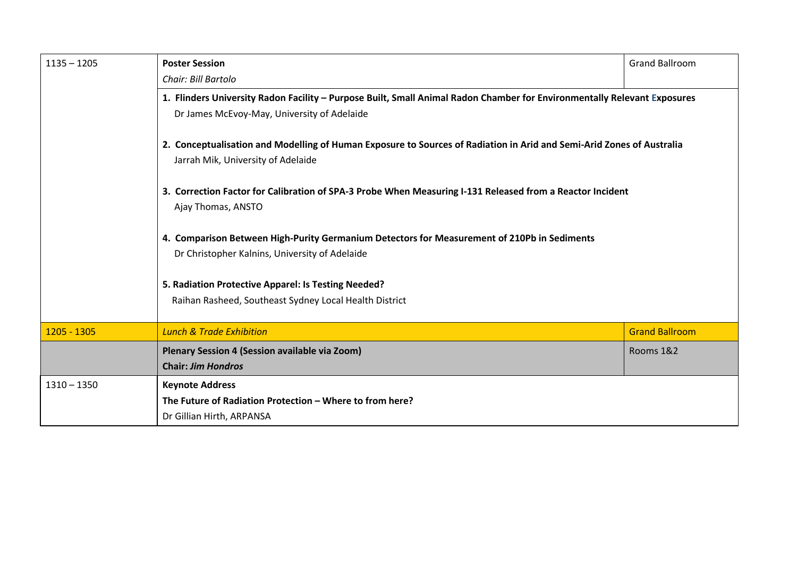| $1135 - 1205$ | <b>Poster Session</b>                                                                                                                                       | <b>Grand Ballroom</b> |  |
|---------------|-------------------------------------------------------------------------------------------------------------------------------------------------------------|-----------------------|--|
|               | Chair: Bill Bartolo                                                                                                                                         |                       |  |
|               | 1. Flinders University Radon Facility - Purpose Built, Small Animal Radon Chamber for Environmentally Relevant Exposures                                    |                       |  |
|               | Dr James McEvoy-May, University of Adelaide                                                                                                                 |                       |  |
|               | 2. Conceptualisation and Modelling of Human Exposure to Sources of Radiation in Arid and Semi-Arid Zones of Australia<br>Jarrah Mik, University of Adelaide |                       |  |
|               | 3. Correction Factor for Calibration of SPA-3 Probe When Measuring I-131 Released from a Reactor Incident<br>Ajay Thomas, ANSTO                             |                       |  |
|               | 4. Comparison Between High-Purity Germanium Detectors for Measurement of 210Pb in Sediments                                                                 |                       |  |
|               | Dr Christopher Kalnins, University of Adelaide                                                                                                              |                       |  |
|               | 5. Radiation Protective Apparel: Is Testing Needed?                                                                                                         |                       |  |
|               | Raihan Rasheed, Southeast Sydney Local Health District                                                                                                      |                       |  |
|               |                                                                                                                                                             |                       |  |
| 1205 - 1305   | <b>Lunch &amp; Trade Exhibition</b>                                                                                                                         | <b>Grand Ballroom</b> |  |
|               | Plenary Session 4 (Session available via Zoom)                                                                                                              | Rooms 1&2             |  |
|               | <b>Chair: Jim Hondros</b>                                                                                                                                   |                       |  |
| $1310 - 1350$ | <b>Keynote Address</b>                                                                                                                                      |                       |  |
|               | The Future of Radiation Protection – Where to from here?                                                                                                    |                       |  |
|               | Dr Gillian Hirth, ARPANSA                                                                                                                                   |                       |  |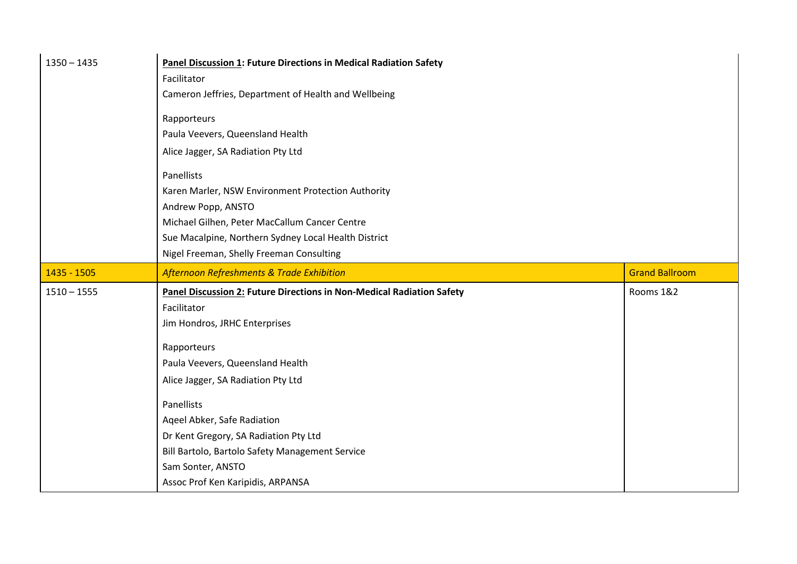| $1350 - 1435$ | <b>Panel Discussion 1: Future Directions in Medical Radiation Safety</b>     |                       |
|---------------|------------------------------------------------------------------------------|-----------------------|
|               | Facilitator                                                                  |                       |
|               | Cameron Jeffries, Department of Health and Wellbeing                         |                       |
|               | Rapporteurs                                                                  |                       |
|               | Paula Veevers, Queensland Health                                             |                       |
|               | Alice Jagger, SA Radiation Pty Ltd                                           |                       |
|               |                                                                              |                       |
|               | Panellists                                                                   |                       |
|               | Karen Marler, NSW Environment Protection Authority                           |                       |
|               | Andrew Popp, ANSTO                                                           |                       |
|               | Michael Gilhen, Peter MacCallum Cancer Centre                                |                       |
|               | Sue Macalpine, Northern Sydney Local Health District                         |                       |
|               | Nigel Freeman, Shelly Freeman Consulting                                     |                       |
| 1435 - 1505   | Afternoon Refreshments & Trade Exhibition                                    | <b>Grand Ballroom</b> |
| $1510 - 1555$ | <b>Panel Discussion 2: Future Directions in Non-Medical Radiation Safety</b> | Rooms 1&2             |
|               | Facilitator                                                                  |                       |
|               | Jim Hondros, JRHC Enterprises                                                |                       |
|               |                                                                              |                       |
|               |                                                                              |                       |
|               | Rapporteurs                                                                  |                       |
|               | Paula Veevers, Queensland Health                                             |                       |
|               | Alice Jagger, SA Radiation Pty Ltd                                           |                       |
|               | Panellists                                                                   |                       |
|               | Aqeel Abker, Safe Radiation                                                  |                       |
|               | Dr Kent Gregory, SA Radiation Pty Ltd                                        |                       |
|               | Bill Bartolo, Bartolo Safety Management Service                              |                       |
|               | Sam Sonter, ANSTO<br>Assoc Prof Ken Karipidis, ARPANSA                       |                       |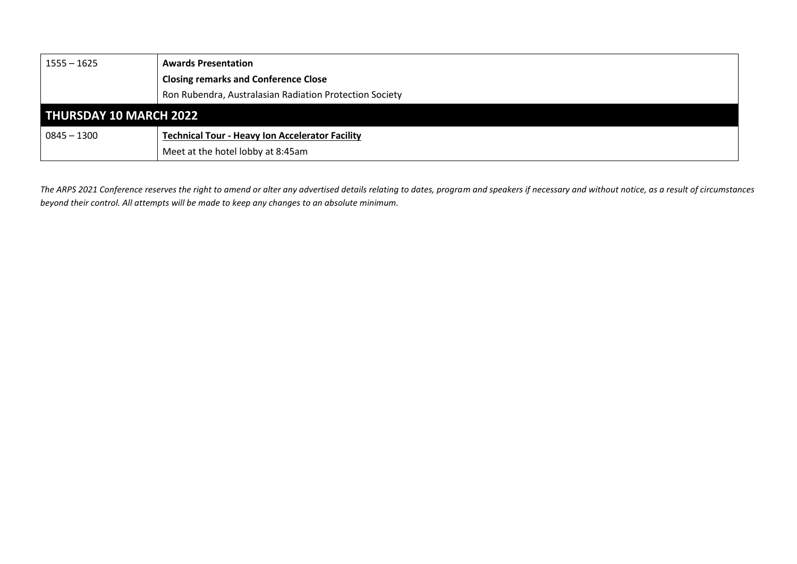| $1555 - 1625$                 | <b>Awards Presentation</b>                              |
|-------------------------------|---------------------------------------------------------|
|                               | <b>Closing remarks and Conference Close</b>             |
|                               | Ron Rubendra, Australasian Radiation Protection Society |
| <b>THURSDAY 10 MARCH 2022</b> |                                                         |
| $0845 - 1300$                 | <b>Technical Tour - Heavy Ion Accelerator Facility</b>  |
|                               | Meet at the hotel lobby at 8:45am                       |

*The ARPS 2021 Conference reserves the right to amend or alter any advertised details relating to dates, program and speakers if necessary and without notice, as a result of circumstances beyond their control. All attempts will be made to keep any changes to an absolute minimum.*